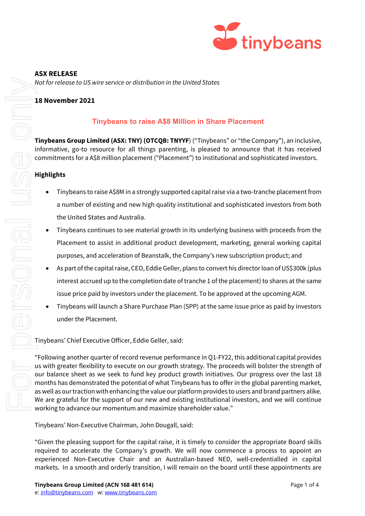

# **ASX RELEASE**

*Not for release to US wire service or distribution in the United States*

# **18 November 2021**

# **Tinybeans to raise A\$8 Millionin Share Placement**

**Tinybeans Group Limited (ASX: TNY) (OTCQB: TNYYF**) ("Tinybeans" or "the Company"), an inclusive, informative, go-to resource for all things parenting, is pleased to announce that it has received commitments for a A\$8 million placement ("Placement") to institutional and sophisticated investors.

### **Highlights**

- Tinybeans to raise A\$8M in a strongly supported capital raise via a two-tranche placement from a number of existing and new high quality institutional and sophisticated investors from both the United States and Australia.
- Tinybeans continues to see material growth in its underlying business with proceeds from the Placement to assist in additional product development, marketing, general working capital purposes, and acceleration of Beanstalk, the Company's new subscription product; and
- As part of the capital raise, CEO, Eddie Geller, plans to convert his director loan of US\$300k (plus interest accrued up to the completion date of tranche 1 of the placement) to shares at the same issue price paid by investors under the placement. To be approved at the upcoming AGM.
- Tinybeans will launch a Share Purchase Plan (SPP) at the same issue price as paid by investors under the Placement.

Tinybeans' Chief Executive Officer, Eddie Geller, said:

"Following another quarter of record revenue performance in Q1-FY22, this additional capital provides us with greater flexibility to execute on our growth strategy. The proceeds will bolster the strength of our balance sheet as we seek to fund key product growth initiatives. Our progress over the last 18 months has demonstrated the potential of what Tinybeans has to offer in the global parenting market, as well as our traction with enhancing the value our platform provides to users and brand partners alike. We are grateful for the support of our new and existing institutional investors, and we will continue working to advance our momentum and maximize shareholder value." markets. In a smooth and orderly transition in the United Stores<br>
In a smooth and order to the company of the company of the company of the company of the company of the company of the company of the company of the company

Tinybeans' Non-Executive Chairman, John Dougall, said:

"Given the pleasing support for the capital raise, it is timely to consider the appropriate Board skills required to accelerate the Company's growth. We will now commence a process to appoint an experienced Non-Executive Chair and an Australian-based NED, well-credentialled in capital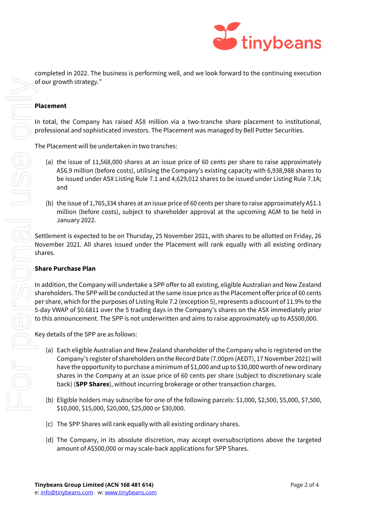

FOR PSONAL USE ONLY **Placement** and shares. Key details of the SPP are as follows:<br>
(a) Each eligible Australian and M<br>
Company's register of shareh<br>
have the opportunity to purcl<br>
shares in the Company at ar

completed in 2022. The business is performing well, and we look forward to the continuing execution of our growth strategy."

In total, the Company has raised A\$8 million via a two-tranche share placement to institutional, professional and sophisticated investors. The Placement was managed by Bell Potter Securities.

The Placement will be undertaken in two tranches:

- (a) the issue of 11,568,000 shares at an issue price of 60 cents per share to raise approximately A\$6.9 million (before costs), utilising the Company's existing capacity with 6,938,988 shares to be issued under ASX Listing Rule 7.1 and 4,629,012 shares to be issued under Listing Rule 7.1A;
- (b) the issue of 1,765,334 shares at an issue price of 60 cents per share to raise approximately A\$1.1 million (before costs), subject to shareholder approval at the upcoming AGM to be held in January 2022.

Settlement is expected to be on Thursday, 25 November 2021, with shares to be allotted on Friday, 26 November 2021. All shares issued under the Placement will rank equally with all existing ordinary

#### **Share Purchase Plan**

In addition, the Company will undertake a SPP offer to all existing, eligible Australian and New Zealand shareholders. The SPP will be conducted at the same issue price as the Placement offer price of 60 cents per share, which for the purposes of Listing Rule 7.2 (exception 5), represents a discount of 11.9% to the 5-day VWAP of \$0.6811 over the 5 trading days in the Company's shares on the ASX immediately prior to this announcement. The SPP is not underwritten and aims to raise approximately up to A\$500,000.

- (a) Each eligible Australian and New Zealand shareholder of the Company who is registered on the Company's register of shareholders on the Record Date (7.00pm (AEDT), 17 November 2021) will have the opportunity to purchase a minimum of \$1,000 and up to \$30,000 worth of new ordinary shares in the Company at an issue price of 60 cents per share (subject to discretionary scale back) (**SPP Shares**), without incurring brokerage or other transaction charges.
- (b) Eligible holders may subscribe for one of the following parcels: \$1,000, \$2,500, \$5,000, \$7,500, \$10,000, \$15,000, \$20,000, \$25,000 or \$30,000.
- (c) The SPP Shares will rank equally with all existing ordinary shares.
- (d) The Company, in its absolute discretion, may accept oversubscriptions above the targeted amount of A\$500,000 or may scale-back applications for SPP Shares.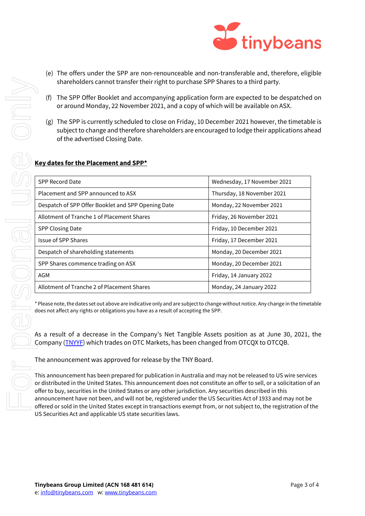- (e) The offers under the SPP are non-renounceable and non-transferable and, therefore, eligible shareholders cannot transfer their right to purchase SPP Shares to a third party.
- (f) The SPP Offer Booklet and accompanying application form are expected to be despatched on or around Monday, 22 November 2021, and a copy of which will be available on ASX.
- (g) The SPP is currently scheduled to close on Friday, 10 December 2021 however, the timetable is subject to change and therefore shareholders are encouraged to lodge their applications ahead of the advertised Closing Date.

# **Key dates for the Placement and SPP\***

| shareholders cannot transfer their right to purchase SPP Shares to a third party.                                                                                                                                                                                                                                                                                                                                                                                                                                                                                                      |                                                                                                                                                                                                  |  |
|----------------------------------------------------------------------------------------------------------------------------------------------------------------------------------------------------------------------------------------------------------------------------------------------------------------------------------------------------------------------------------------------------------------------------------------------------------------------------------------------------------------------------------------------------------------------------------------|--------------------------------------------------------------------------------------------------------------------------------------------------------------------------------------------------|--|
| The SPP Offer Booklet and accompanying application form are expected to be despatched or<br>(f)<br>or around Monday, 22 November 2021, and a copy of which will be available on ASX.                                                                                                                                                                                                                                                                                                                                                                                                   |                                                                                                                                                                                                  |  |
| of the advertised Closing Date.                                                                                                                                                                                                                                                                                                                                                                                                                                                                                                                                                        | (g) The SPP is currently scheduled to close on Friday, 10 December 2021 however, the timetable i<br>subject to change and therefore shareholders are encouraged to lodge their applications ahea |  |
| Key dates for the Placement and SPP*                                                                                                                                                                                                                                                                                                                                                                                                                                                                                                                                                   |                                                                                                                                                                                                  |  |
| <b>SPP Record Date</b>                                                                                                                                                                                                                                                                                                                                                                                                                                                                                                                                                                 | Wednesday, 17 November 2021                                                                                                                                                                      |  |
| Placement and SPP announced to ASX                                                                                                                                                                                                                                                                                                                                                                                                                                                                                                                                                     | Thursday, 18 November 2021                                                                                                                                                                       |  |
| Despatch of SPP Offer Booklet and SPP Opening Date                                                                                                                                                                                                                                                                                                                                                                                                                                                                                                                                     | Monday, 22 November 2021                                                                                                                                                                         |  |
| Allotment of Tranche 1 of Placement Shares                                                                                                                                                                                                                                                                                                                                                                                                                                                                                                                                             | Friday, 26 November 2021                                                                                                                                                                         |  |
| SPP Closing Date                                                                                                                                                                                                                                                                                                                                                                                                                                                                                                                                                                       | Friday, 10 December 2021                                                                                                                                                                         |  |
| <b>Issue of SPP Shares</b>                                                                                                                                                                                                                                                                                                                                                                                                                                                                                                                                                             | Friday, 17 December 2021                                                                                                                                                                         |  |
| Despatch of shareholding statements                                                                                                                                                                                                                                                                                                                                                                                                                                                                                                                                                    | Monday, 20 December 2021                                                                                                                                                                         |  |
| SPP Shares commence trading on ASX                                                                                                                                                                                                                                                                                                                                                                                                                                                                                                                                                     | Monday, 20 December 2021                                                                                                                                                                         |  |
| <b>AGM</b>                                                                                                                                                                                                                                                                                                                                                                                                                                                                                                                                                                             | Friday, 14 January 2022                                                                                                                                                                          |  |
| Allotment of Tranche 2 of Placement Shares                                                                                                                                                                                                                                                                                                                                                                                                                                                                                                                                             | Monday, 24 January 2022                                                                                                                                                                          |  |
| * Please note, the dates set out above are indicative only and are subject to change without notice. Any change in the timetabl<br>does not affect any rights or obligations you have as a result of accepting the SPP.                                                                                                                                                                                                                                                                                                                                                                |                                                                                                                                                                                                  |  |
| As a result of a decrease in the Company's Net Tangible Assets position as at June 30, 2021, the<br>Company (TNYYF) which trades on OTC Markets, has been changed from OTCQX to OTCQB.                                                                                                                                                                                                                                                                                                                                                                                                 |                                                                                                                                                                                                  |  |
| The announcement was approved for release by the TNY Board.                                                                                                                                                                                                                                                                                                                                                                                                                                                                                                                            |                                                                                                                                                                                                  |  |
| This announcement has been prepared for publication in Australia and may not be released to US wire services<br>or distributed in the United States. This announcement does not constitute an offer to sell, or a solicitation of ar<br>offer to buy, securities in the United States or any other jurisdiction. Any securities described in this<br>announcement have not been, and will not be, registered under the US Securities Act of 1933 and may not be<br>offered or sold in the United States except in transactions exempt from, or not subject to, the registration of the |                                                                                                                                                                                                  |  |

This announcement has been prepared for publication in Australia and may not be released to US wire services or distributed in the United States. This announcement does not constitute an offer to sell, or a solicitation of an offer to buy, securities in the United States or any other jurisdiction. Any securities described in this announcement have not been, and will not be, registered under the US Securities Act of 1933 and may not be US Securities Act and applicable US state securities laws.